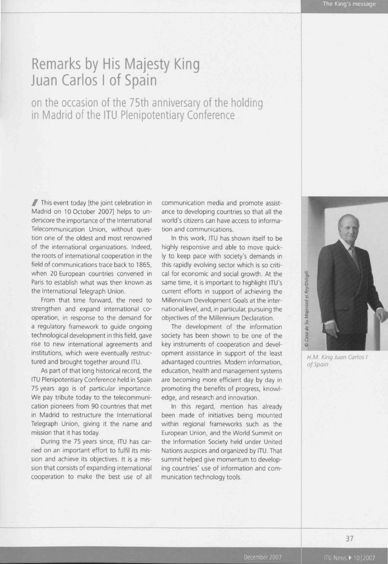The King's message

## Remarks by His Majesty King Juan Carlos I of Spain

on the occasion of the 75th anniversary of the holding in Madrid of the ITU Plenipotentiary Conference

/ This event today [the joint celebration in Madrid on 10 October 2007] helps to underscore the importance of the International Telecommunication Union, without question one of the oldest and most renowned of the international organizations. Indeed, the roots of international cooperation in the field of communications trace back to 1865, when 20 European countries convened in Paris to establish what was then known as the International Telegraph Union.

From that time forward, the need to strengthen and expand international cooperation, in response to the demand for a regulatory framework to guide ongoing technological development in this field, gave rise to new international agreements and institutions, which were eventually restructured and brought together around ITU.

As part of that long historical record, the ITU Plenipotentiary Conference held in Spain 75 years ago is of particular importance. We pay tribute today to the telecommunication pioneers from 90 countries that met in Madrid to restructure the International Telegraph Union, giving it the name and mission that it has today.

During the 75 years since, ITU has carried on an important effort to fulfil its mission and achieve its objectives. It is a mission that consists of expanding international cooperation to make the best use of all communication media and promote assistance to developing countries so that all the world's citizens can have access to information and communications.

In this work, ITU has shown itself to be highly responsive and able to move quickly to keep pace with society's demands in this rapidly evolving sector which is so critical for economic and social growth. At the same time, it is important to highlight ITU's current efforts in support of achieving the Millennium Development Goals at the international level, and, in particular, pursuing the objectives of the Millennium Declaration.

The development of the information society has been shown to be one of the key instruments of cooperation and development assistance in support of the least advantaged countries. Modern information, education, health and management systems are becoming more efficient day by day in promoting the benefits of progress, knowledge, and research and innovation.

In this regard, mention has already been made of initiatives being mounted within regional frameworks such as the European Union, and the World Summit on the Information Society held under United Nations auspices and organized by ITU. That summit helped give momentum to developing countries' use of information and communication technology tools.



H. M. King Juan Carlos I of Spain